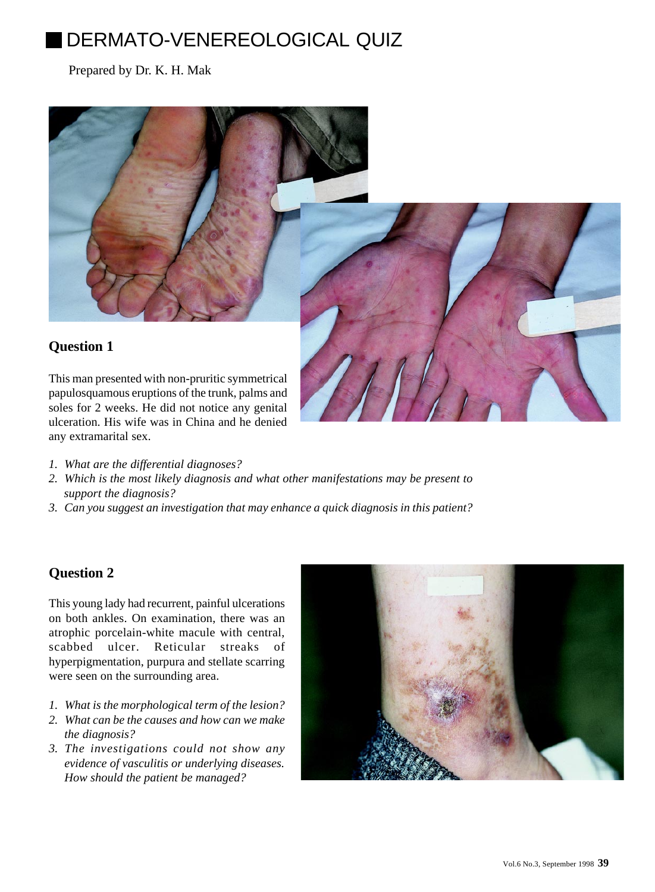# DERMATO-VENEREOLOGICAL QUIZ

## Prepared by Dr. K. H. Mak



papulosquamous eruptions of the trunk, palms and soles for 2 weeks. He did not notice any genital ulceration. His wife was in China and he denied any extramarital sex.

- *1. What are the differential diagnoses?*
- *2. Which is the most likely diagnosis and what other manifestations may be present to support the diagnosis?*
- *3. Can you suggest an investigation that may enhance a quick diagnosis in this patient?*

## **Question 2**

This young lady had recurrent, painful ulcerations on both ankles. On examination, there was an atrophic porcelain-white macule with central, scabbed ulcer. Reticular streaks of hyperpigmentation, purpura and stellate scarring were seen on the surrounding area.

- *1. What is the morphological term of the lesion?*
- *2. What can be the causes and how can we make the diagnosis?*
- *3. The investigations could not show any evidence of vasculitis or underlying diseases. How should the patient be managed?*